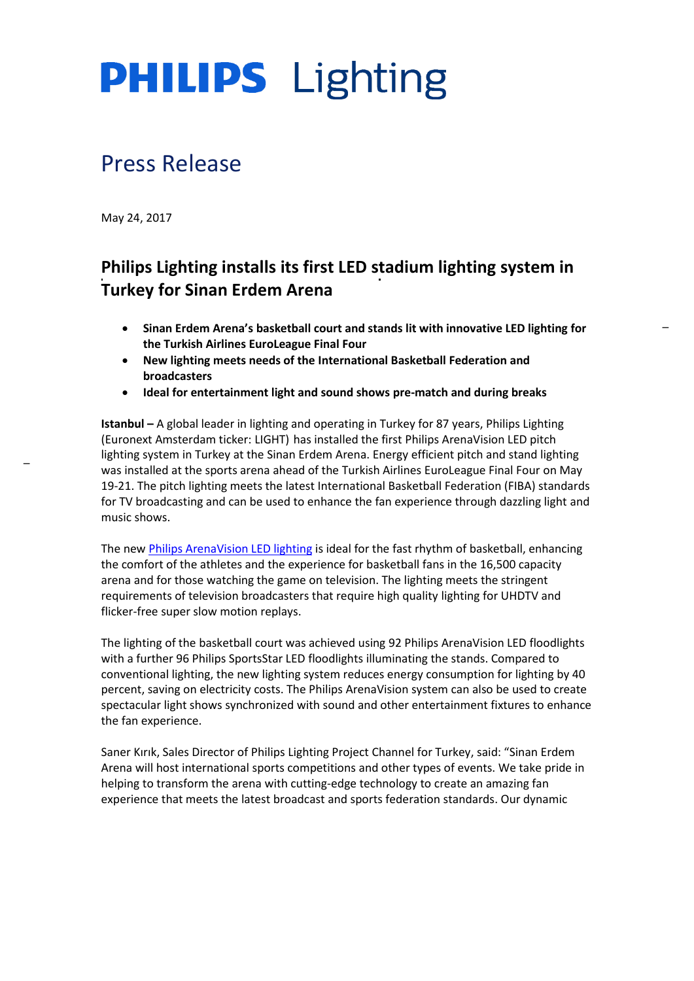# **PHILIPS** Lighting

## Press Release

May 24, 2017

## **Philips Lighting installs its first LED stadium lighting system in Turkey for Sinan Erdem Arena**

- **Sinan Erdem Arena's basketball court and stands lit with innovative LED lighting for the Turkish Airlines EuroLeague Final Four**
- **New lighting meets needs of the International Basketball Federation and broadcasters**
- **Ideal for entertainment light and sound shows pre-match and during breaks**

**Istanbul –** A global leader in lighting and operating in Turkey for 87 years, Philips Lighting (Euronext Amsterdam ticker: LIGHT) has installed the first Philips ArenaVision LED pitch lighting system in Turkey at the Sinan Erdem Arena. Energy efficient pitch and stand lighting was installed at the sports arena ahead of the Turkish Airlines EuroLeague Final Four on May 19-21. The pitch lighting meets the latest International Basketball Federation (FIBA) standards for TV broadcasting and can be used to enhance the fan experience through dazzling light and music shows.

The ne[w Philips ArenaVision LED lighting](http://www.lighting.philips.co.uk/systems/lighting-systems/arenavision) is ideal for the fast rhythm of basketball, enhancing the comfort of the athletes and the experience for basketball fans in the 16,500 capacity arena and for those watching the game on television. The lighting meets the stringent requirements of television broadcasters that require high quality lighting for UHDTV and flicker-free super slow motion replays.

The lighting of the basketball court was achieved using 92 Philips ArenaVision LED floodlights with a further 96 Philips SportsStar LED floodlights illuminating the stands. Compared to conventional lighting, the new lighting system reduces energy consumption for lighting by 40 percent, saving on electricity costs. The Philips ArenaVision system can also be used to create spectacular light shows synchronized with sound and other entertainment fixtures to enhance the fan experience.

<span id="page-0-0"></span>Saner Kırık, Sales Director of Philips Lighting Project Channel for Turkey, said: "Sinan Erdem Arena will host international sports competitions and other types of events. We take pride in helping to transform the arena with cutting-edge technology to create an amazing fan experience that meets the latest broadcast and sports federation standards. Our dynamic

 $\overline{a}$